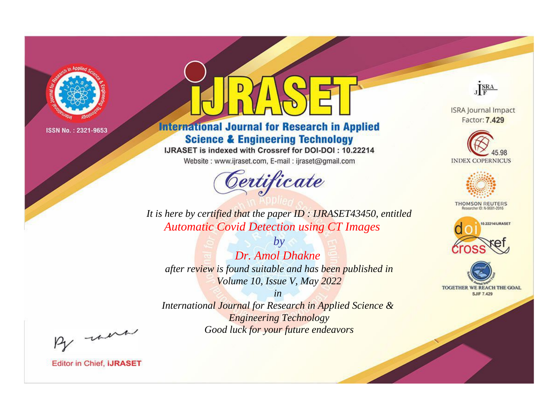

# **International Journal for Research in Applied Science & Engineering Technology**

IJRASET is indexed with Crossref for DOI-DOI: 10.22214

Website: www.ijraset.com, E-mail: ijraset@gmail.com



JERA

**ISRA Journal Impact** Factor: 7.429





**THOMSON REUTERS** 



TOGETHER WE REACH THE GOAL **SJIF 7.429** 

*It is here by certified that the paper ID : IJRASET43450, entitled Automatic Covid Detection using CT Images*

*by Dr. Amol Dhakne after review is found suitable and has been published in Volume 10, Issue V, May 2022*

*in* 

*International Journal for Research in Applied Science & Engineering Technology Good luck for your future endeavors*

By morn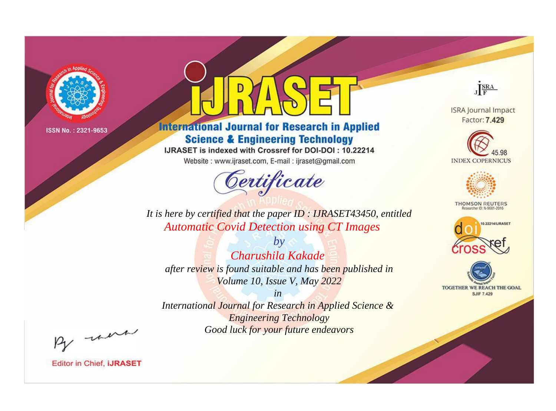

# **International Journal for Research in Applied Science & Engineering Technology**

IJRASET is indexed with Crossref for DOI-DOI: 10.22214

Website: www.ijraset.com, E-mail: ijraset@gmail.com



JERA

**ISRA Journal Impact** Factor: 7.429





**THOMSON REUTERS** 



TOGETHER WE REACH THE GOAL **SJIF 7.429** 

It is here by certified that the paper ID: IJRASET43450, entitled **Automatic Covid Detection using CT Images** 

 $b\nu$ Charushila Kakade after review is found suitable and has been published in Volume 10, Issue V, May 2022

 $in$ International Journal for Research in Applied Science & **Engineering Technology** Good luck for your future endeavors

By morn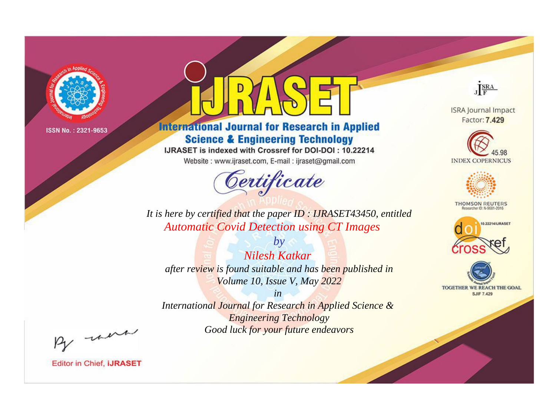

# **International Journal for Research in Applied Science & Engineering Technology**

IJRASET is indexed with Crossref for DOI-DOI: 10.22214

Website: www.ijraset.com, E-mail: ijraset@gmail.com



JERA

**ISRA Journal Impact** Factor: 7.429





**THOMSON REUTERS** 



TOGETHER WE REACH THE GOAL **SJIF 7.429** 

*It is here by certified that the paper ID : IJRASET43450, entitled Automatic Covid Detection using CT Images*

*by Nilesh Katkar after review is found suitable and has been published in Volume 10, Issue V, May 2022*

*in* 

*International Journal for Research in Applied Science & Engineering Technology Good luck for your future endeavors*

By morn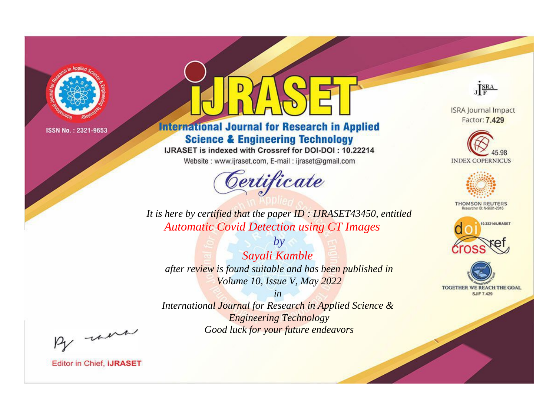

# **International Journal for Research in Applied Science & Engineering Technology**

IJRASET is indexed with Crossref for DOI-DOI: 10.22214

Website: www.ijraset.com, E-mail: ijraset@gmail.com



JERA

**ISRA Journal Impact** Factor: 7.429





**THOMSON REUTERS** 



TOGETHER WE REACH THE GOAL **SJIF 7.429** 

*It is here by certified that the paper ID : IJRASET43450, entitled Automatic Covid Detection using CT Images*

*by Sayali Kamble after review is found suitable and has been published in Volume 10, Issue V, May 2022*

*in* 

*International Journal for Research in Applied Science & Engineering Technology Good luck for your future endeavors*

By morn